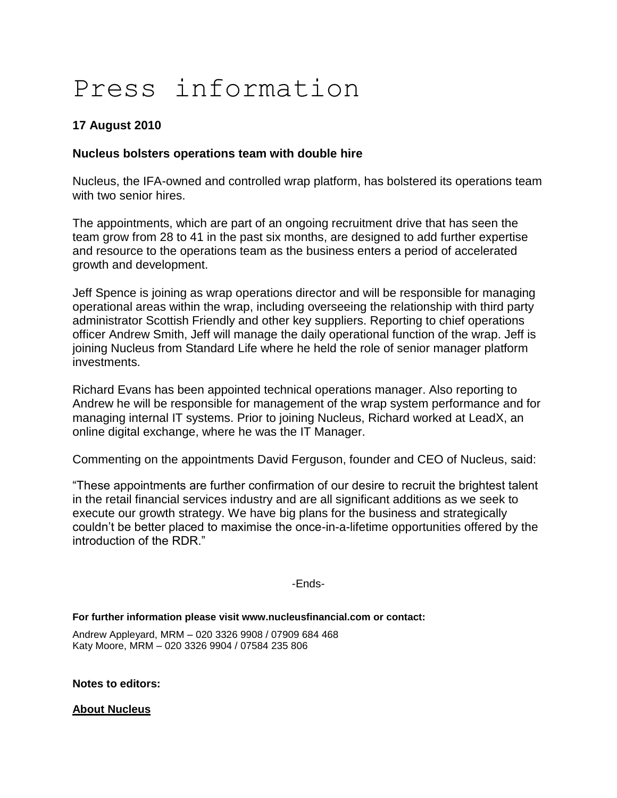## Press information

## **17 August 2010**

## **Nucleus bolsters operations team with double hire**

Nucleus, the IFA-owned and controlled wrap platform, has bolstered its operations team with two senior hires.

The appointments, which are part of an ongoing recruitment drive that has seen the team grow from 28 to 41 in the past six months, are designed to add further expertise and resource to the operations team as the business enters a period of accelerated growth and development.

Jeff Spence is joining as wrap operations director and will be responsible for managing operational areas within the wrap, including overseeing the relationship with third party administrator Scottish Friendly and other key suppliers. Reporting to chief operations officer Andrew Smith, Jeff will manage the daily operational function of the wrap. Jeff is joining Nucleus from Standard Life where he held the role of senior manager platform investments.

Richard Evans has been appointed technical operations manager. Also reporting to Andrew he will be responsible for management of the wrap system performance and for managing internal IT systems. Prior to joining Nucleus, Richard worked at LeadX, an online digital exchange, where he was the IT Manager.

Commenting on the appointments David Ferguson, founder and CEO of Nucleus, said:

"These appointments are further confirmation of our desire to recruit the brightest talent in the retail financial services industry and are all significant additions as we seek to execute our growth strategy. We have big plans for the business and strategically couldn"t be better placed to maximise the once-in-a-lifetime opportunities offered by the introduction of the RDR."

-Ends-

**For further information please visit www.nucleusfinancial.com or contact:**

Andrew Appleyard, MRM – 020 3326 9908 / 07909 684 468 Katy Moore, MRM – 020 3326 9904 / 07584 235 806

**Notes to editors:**

**About Nucleus**